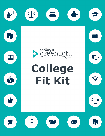









# **College Fit Kit**



 $\bigcirc$  $\overline{\mathbb{F}}_{\mathbb{Z}}$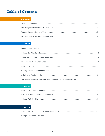## **Table of Contents**

#### **PREPARE**

#### **PLAN**

| The FAFSA: The Most Important Financial Aid Form You'll Ever Fill Out  14 |
|---------------------------------------------------------------------------|

#### **DECIDE**

### **APPLY**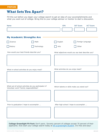## **What Sets You Apart?**

Fill this out before you begin your college search to get an idea of your accomplishments and what you want out of college. Bring this to your college advisor or mentor to start a discussion.

| Name                                                                                             |            |         | <b>GPA</b> | <b>SAT Score</b>                                 | <b>ACT Score</b> |
|--------------------------------------------------------------------------------------------------|------------|---------|------------|--------------------------------------------------|------------------|
|                                                                                                  |            |         |            |                                                  |                  |
|                                                                                                  |            |         |            |                                                  |                  |
| <b>My Academic Strengths Are</b>                                                                 |            |         |            |                                                  |                  |
| Science                                                                                          | Math       | English |            |                                                  | Foreign Language |
| History                                                                                          | Technology | Arts    |            | Other                                            |                  |
| How would your best friends describe you?                                                        |            |         |            | What adjectives would you say best describe you? |                  |
|                                                                                                  |            |         |            |                                                  |                  |
|                                                                                                  |            |         |            |                                                  |                  |
| What in-school activities do you enjoy most?                                                     |            |         |            | What activities do you enjoy least?              |                  |
|                                                                                                  |            |         |            |                                                  |                  |
|                                                                                                  |            |         |            |                                                  |                  |
| What out-of-school activities do you participate in?<br>Volunteer work? Family responsibilities? |            |         |            | Which talents or skills make you stand out?      |                  |
|                                                                                                  |            |         |            |                                                  |                  |
|                                                                                                  |            |         |            |                                                  |                  |
| Prior to graduation I hope to accomplish                                                         |            |         |            | After high school I hope to accomplish           |                  |
|                                                                                                  |            |         |            |                                                  |                  |
|                                                                                                  |            |         |            |                                                  |                  |
|                                                                                                  |            |         |            |                                                  |                  |

**College Greenlight Fit Fact:** Don't panic. Seventy percent of colleges accept 70 percent of their applicants. Kick-start your college search today at bit.ly/greenlight-student. It's free and easy!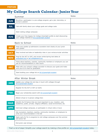# **My College Search Calendar: Junior Year**

|            | Summer                                                                                                                           | <b>Notes</b> |
|------------|----------------------------------------------------------------------------------------------------------------------------------|--------------|
| <b>JUN</b> | Be active—participate in a pre-college program, get a job, internship, or<br>pursue a passion                                    |              |
| <b>JUL</b> | Talk with family about your college goals and college costs                                                                      |              |
|            | Start visiting college campuses                                                                                                  |              |
| <b>AUG</b> | Create your free Cappex for College Greenlight profile to start discovering<br>your college matches at bit.ly/greenlight-student |              |

#### Back to School Notes

| <b>SEP</b> | Keep your grades up-admissions counselors look closely at your junior<br>year grades                            |
|------------|-----------------------------------------------------------------------------------------------------------------|
| <b>OCT</b> | Stay involved and take on leadership roles in your extracurricular activities                                   |
| <b>NOV</b> | Prep for the ACT or SAT, and review winter/spring test dates at<br>actstudent.org or sat.collegeboard.org       |
|            | Think about teachers, coaches, community members or employers you can<br>ask for recommendations in near future |
| <b>DEC</b> | Meet with your school's college counselor to discuss your goals and make<br>sure you're on track for graduation |
|            | Start building your college list on bit.ly/greenlight-student                                                   |

#### After Winter Break Notes

| <b>JAN</b> | Update your college list and stay in touch with colleges through<br>bit.ly/greenlight-student                                                          |  |
|------------|--------------------------------------------------------------------------------------------------------------------------------------------------------|--|
|            | Register for the ACT or SAT (or both)                                                                                                                  |  |
| <b>FEB</b> | Begin your scholarship search with bit.ly/greenlight-student                                                                                           |  |
|            | Attend virtual or in-person college fairs                                                                                                              |  |
| <b>MAR</b> | Identify the fit factors that are most important to you-location, cost,<br>academics, public, private, religious affiliation, social environment, etc. |  |
| <b>APR</b> | Visit local college campuses, or participate in virtual visits or tours                                                                                |  |
|            | Ask counselors, teachers, coaches, community members, or employers to<br>write your recommendation in the fall                                         |  |
| <b>MAY</b> | Apply early for fly-in programs to visit college campuses over the summer<br>and senior fall                                                           |  |
|            | End junior year strong!                                                                                                                                |  |

That's a lot of steps! Simplify your college search by making a free profile on *bit.ly/greenlight-student* today.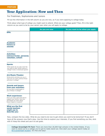## **Your Application: Now and Then**

For Freshmen, Sophomores and Juniors

Fill out the information in the left column as you are now, as if you were applying to college today.

Think about what type of college you might want to attend. What are your college goals? Then, fill in the right column as you want to be by your senior year when you will apply to college.

|                                                                                                                                                        | As you are now | As you want to be when you apply |
|--------------------------------------------------------------------------------------------------------------------------------------------------------|----------------|----------------------------------|
| <b>GPA:</b>                                                                                                                                            |                |                                  |
|                                                                                                                                                        |                |                                  |
|                                                                                                                                                        |                |                                  |
| <b>Academic</b><br>honors or<br>awards:                                                                                                                |                |                                  |
| <b>Activities:</b><br>extracurricular, personal,<br>volunteer, school:                                                                                 |                |                                  |
| <b>Sports:</b>                                                                                                                                         |                |                                  |
| What sports do you play now? Do<br>you want to play varsity sports in<br>college? Club or intramural sports?                                           |                |                                  |
| <b>Art/Music/Theater:</b><br>What article activities are you in<br>now? Do you want continue those<br>activities in college?                           |                |                                  |
| <b>Awards and honors</b><br>from your activities:<br>Do you plan to participate in<br>any of these in college?                                         |                |                                  |
| <b>Work experience:</b><br>Have you had a part-time job to<br>support your family? Has your<br>job helped you learn about<br>future majors or careers? |                |                                  |
| <b>What are the first</b><br>words teachers<br>might use to<br>describe you:                                                                           |                |                                  |

Now, compare the two sides. What do you need to do now to get where you want to be tomorrow? If you don't have all the answers now that's okay. Use this time to explore your interests. If you find something you like, stick with it! Keep this sheet and use it to set goals.

©2022 by EAB. All Rights Reserved. 5 **[eab.com](https://www.eab.com/)** bit.ly/greenlight-student. It's free and easy! **College Greenlight Fit Fact:** There are more than 26,000 high schools in the United States. If you want to stand out to a college you've got to really stand out. Kick-start your college search today at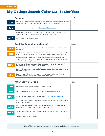# **My College Search Calendar: Senior Year**

|            | <b>Summer</b>                                                                                                                                                | <b>Notes</b> |
|------------|--------------------------------------------------------------------------------------------------------------------------------------------------------------|--------------|
| <b>JUN</b> | Take part in activities that continue to enhance your college and scholarship<br>applications; i.e., leadership, volunteering, family responsibilities, jobs |              |
| <b>JUL</b> | Narrow down your college list on bit.ly/greenlight-student                                                                                                   |              |
|            | Make college application accounts on the Common App, Coalition, Universal<br>Application, and any college-specific application platforms                     |              |
| <b>AUG</b> | Get to work on application essays                                                                                                                            |              |

#### **Back to School as a Senior!** Notes

| <b>SEP</b> | Take charge in your extracurricular activities and continue to demonstrate<br>leadership                                                                                                 |
|------------|------------------------------------------------------------------------------------------------------------------------------------------------------------------------------------------|
| <b>OCT</b> | Check in with teachers, employers, community members or coaches you've<br>asked for recommendations - provide them with materials and deadlines                                          |
|            | Make plans with your family to complete the FAFSA after it opens on<br>October 1st. Review the CSS Profile or other college-specific financial aid<br>applications that may be required. |
| <b>NOV</b> | Order and send your high school transcript (and ACT or SAT scores, if<br>applicable) to all the colleges you're applying to                                                              |
|            | Submit all application materials before deadlines and monitor your email or<br>applicant portal                                                                                          |
| <b>DEC</b> | Confirm materials have been received by colleges, including letters of<br>recommendation, official test scores, transcripts, etc.                                                        |

#### **After Winter Break** Notes

| <b>JAN</b> | Apply to any additional colleges you're still considering                                                                        |  |
|------------|----------------------------------------------------------------------------------------------------------------------------------|--|
| <b>FEB</b> | Keep your grades up as you wait to hear decisions from schools                                                                   |  |
| <b>MAR</b> | Kick scholarship search into full gear using bit.ly/greenlight-student                                                           |  |
|            | Participate in virtual or in-person visits where you've been admitted to help<br>make a final decision                           |  |
| <b>APR</b> | Keep an eye out for financial aid award letters around April and consider<br>appealing if your family circumstances have changed |  |
| <b>MAY</b> | Decide on a college officially confirm your enrollment no later than May 1                                                       |  |
|            | Celebrate your college choice!                                                                                                   |  |

Best of luck on your college search and congratulations on graduation!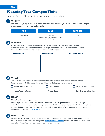## **Planning Your Campus Visits**

Here are five considerations to help plan your campus visits!



#### 1 **WHEN?**

Look through your jam-packed calendar and mark off time when you might be able to visit colleges or participate in more virtual college visits

| <b>MARCH</b> | <b>JUNE</b>                            | <b>OCTOBER</b> |
|--------------|----------------------------------------|----------------|
| Spring Break | Summer                                 | Fall           |
|              | (May not have campus activities of the |                |
|              | normal school year)                    |                |

## 2

#### **WHERE?**

If considering visiting colleges in-person, is there a geographic "hot spot" with colleges you're interested in? Map together the schools you might want to visit that are close to one another. Discuss with your family whether taking a trip to visit colleges makes sense

#### **College Group 1 College Group 2 College Group 3**







## 3

#### **WHAT?**

The point of visiting schools is to experience the differences in each campus and the culture. Consider which activities you'd like to participate in during each campus visit.



Attend an Info Session

Tour Campus

Schedule an Interview

Meet With a Professor

Visit a Class

Stay Overnight in a Dorm

#### **HOW?** 4

5

#### **Make the final arrangements.**

Who will you go with? Travel with people who will want you to get the most out of your college visits. Where will you stay? Make arrangements ahead of time. Many colleges offer funding to visit their campus during senior year. Research whether each college offers a fly-in program or other travel reimbursements using [bit.ly/fly-in-list.](https://bit.ly/fly-in-list)

### **Pack & Go!**

Unable to visit colleges in person? That's ok! Most colleges offer virtual visits or tours of campus through YouVisit or YouTube. Research colleges on bit.ly/greenlight-student to see what kinds of virtual visits might be offered. You can watch virtual tours right on our site!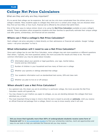## **College Net Price Calculators**

#### What are they and why are they important?

It's no secret that college can be expensive. But cost can be a lot more complicated than the sticker price on a college's website. Many students apply to colleges they think are in a certain price range, but are shocked when they find out how little, or how much, financial aid is offered by the schools that admit them.

One of the best ways to reduce sticker shock is by using the **Net Price Calculator** available on every college's website. These calculators allow prospective students and their families to specifically estimate their unique college cost after grants, scholarships, and financial aid are awarded.

#### **Where can I find a college's Net Price Calculator?**

Each college's net price calculator is listed directly on their admissions or financial aid website. Google "college name + net price calculator" to find it.

#### **What information will I need to use a Net Price Calculator?**

Since each college has its own Net Price Calculator, some colleges may ask more questions or different questions than others. Typically, the more questions asked, the more accurate the results are likely to be. The most common information you may be asked about includes:



Information about your parents or legal guardians, your age, marital status, income and tax information

Number of children in your household and how many of them are in college



Your academic information such as standardized test scores, GPA and class rank

Whether you plan to live on or off campus

#### **When should I use a Net Price Calculator?**

- As a general rule, the closer you are to enrolling in a particular college, the more accurate the Net Price Calculator results will typically be.
- You may choose to use it before you apply to colleges, as you are deciding between the colleges that have admitted you, or both.
- The most important thing to keep in mind is that this tool is meant to provide an **estimate**. Until you receive an official financial aid package from a college, there's no way to know exactly what it will cost.

**Did you know that typically more than 66% of undergraduate students receive some form of**  financial aid? Go to bit.ly/greenlight-student to find your scholarship matches, merit aid opportunities and easy-to-use tools to help you estimate the financial aid you may receive.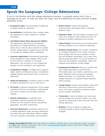## **Speak the Language: College Admissions**

If you're not familiar with the college admissions process, it probably seems like it has a language all its own. To help you learn the lingo, here are definitions of some common college admission terms.

- **Acceptance Rate:** The percentage of applicants a college accepts for admission.
- **Accreditation:** Certification that a college meets the standards of a state, regional, or national association.
- **Candidates Reply Date Agreement (CRDA):**  This agreement, sponsored by the National Association for College Admission Counseling, states that in order to allow students to consider all their college options, students have until May 1 to accept any college's offer of admission.
- **Common Application:** Standardized application forms accepted by many colleges. After you fill out the Common, Coalition, or Universal Application, you can send it to any college that accepts it as the institution's own application.
- **Competitive College**: A college with a rigorous, highly selective admissions process. Competitive colleges typically admit fewer than 25 percent of applicants.
- **Deferred Admission:** A student's option to defer an offer of admission for one or more terms.
- **Fit Factor:** A desired characteristic of the college experience that you are seeking; a characteristic you wish to research as you assess potential colleges.
- **Holistic Admissions:** A qualitative and quantitative selection process that relies on context from the student's family, educational, geographic, and other experiences.
- **Personal Statement:** Sometimes referred to as a college application essay, personal statements are essays that give admissions officers insights into your character, personality, and motivation.
- **Reach School:** Schools that typically accept students with higher GPAs or stronger academic rigor.
- **Retention Rate:** The percentage of students who return to a college for their sophomore year. An indicator of student satisfaction and success.
- **Likely School:** Schools that you're excited about and feel confident in your chance of admission.
- **Student-Faculty Ratio:** The number of students at a college compared to the number of faculty. Some colleges see this as an indicator of class size and professor accessibility, but a lower ratio doesn't guarantee either. For a true indication of class size and professor accessibility, speak with students and professors at that college.
- **Supplemental Material:** Items you include with your college application to provide more information about your talents, experiences, and goals. Materials could include work samples, additional essays, or art portfolios. Verify if a college welcomes (or requests) these materials before sending.
- **Target School:** Schools with students whose GPA and rigor of high school courses are similar to yours. A bit more competitive institution where you are possibly admissible.
- **Transcript:** A record of classes you have taken and the grades you received. Usually, you must provide an official high school transcript with your college application.
- **Waitlist:** A list of students a college may eventually decide to admit if space becomes available.

**College Greenlight Fit Fact:** More than half of all students enrolling said a "very important reason" for going to college was "to find my purpose in life." Go to *bit.ly/greenlight-student* today to see which colleges match your fit factors. It's free and easy!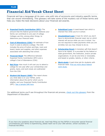## **Financial Aid Vocab Cheat Sheet**

Financial aid has a language all its own—one with lots of acronyms and industry-specific terms that can sound intimidating. This glossary will take some of the mystery out of these terms and help you make the best decisions about your financial aid awards.

- **[Expected Family Contribution \(EFC\):](https://studentaid.gov/help-center/answers/article/what-is-expected-family-contribution)** The amount that the federal government believes your family can contribute to one year of college. Colleges use this, among other things, to determine your financial need.
- **[Cost of Attendance \(COA\)](https://studentaid.gov/help-center/answers/article/what-does-cost-of-attendance-mean/)**: An estimate of how much it costs to attend a college. The COA includes the price of tuition and fees, room and board, books and supplies, and other expenses associated with attending that school.
- **[Financial Need:](https://studentaid.gov/help-center/answers/article/what-does-financial-need-mean)** The difference between Expected Family Contribution (EFC) and a college's Cost of Attendance (COA).
- **[Net Price:](https://studentaid.gov/help-center/answers/article/what-does-net-price-mean-for-college-costs)** How much it will cost you to attend a college for one year after your scholarships and grants, loans, and work-study are subtracted from the COA.
- **[Student Aid Report \(SAR\)](https://studentaid.gov/apply-for-aid/fafsa/review-and-correct/review):** This report shows you what data is on your FAFSA, some information about the aid for which you're eligible, and your Expected Family Contribution (EFC). [See a sample SAR here](https://fsapartners.ed.gov/sites/default/files/attachments/2020-09/2122SARAckSampleEnFinal.pdf).
- **[Subsidized Loan](https://studentaid.gov/help-center/answers/topic/glossary/article/direct-subsidized-loan):** A need-based loan which is interest-free while you're in school.
- **[Unsubsidized Loan:](https://studentaid.gov/help-center/answers/topic/glossary/article/unsubsidized-loan)** A loan for which you don't b. have to demonstrate financial need, but on which interest will accrue while you are in school. You are not required to make payments while you are enrolled, but you may choose to do so.
- **[Scholarship/Grant:](https://studentaid.gov/help-center/answers/topic/glossary/article/scholarship)** A monetary gift that doesn't have to be repaid. It is provided by the federal or state government, the institution, and/or private organizations. It can be one-time or renewable, and based on grades, talents, or other criteria.
- **[Work-study:](https://studentaid.gov/help-center/answers/topic/glossary/article/federal-work-study)** A part-time job for students with financial need. [Find out more about federal](https://fsapartners.ed.gov/sites/default/files/attachments/2020-09/2122SARAckSampleEnFinal.pdf) work-study.

For additional terms you'll see throughout the financial aid process, [check out this glossary](https://studentaid.gov/help-center/answers/topic/glossary/articles) from the Department of Education.

If you have any questions about financial aid, need help filling out the FAFSA or encounter special financial circumstances your family is experiencing, please reach out to your CBO advisor, school counselor, or Financial Aid Office.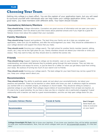## **Choosing Your Team**

Getting into college is a team effort. You are the captain of your application team, but you will need to surround yourself with individuals who can help make your college application shine. Like any good team, you need members with different skills. Your team should include:

#### **Counselors/Advisors/Mentors**

**They should bring**: College information. Counselors are great sources of information and can open your eyes to college possibilities. Don't be afraid to pick their brains about potential schools and if you might be a good fit. Nobody knows more about this subject than your counselor.

#### **Family Members**

**They should bring:** Support and guidance. The best thing your family can do is help you complete your application, make sure you hit deadlines, and offer the encouragement you need. They should be collaborators in your college decision and support the choice that you make.

**They should avoid:** Running your college search. The right school for another family member (parent, sibling, cousin, etc.) may not be the right place for you. Family members should not attend your interview or write your essays. They may want to help, but they should stick to a behind the scenes role.

#### **Friends**

**They should bring:** Support. Applying to college can be stressful. Lean on your friends for support, understanding, and stress relief because they're probably going through the same process. They can help you check applications and essays for errors, or just be there for a coffee run when you get bleary-eyed from writing your essay. Be cautious of turning too much of your search over to friends.

**They should avoid:** Running your college search. The best college for your best friend may not be a good fit for you. Keep your college search about you.

#### **Recommenders**

**They should bring:** The ability to positively speak not just about your accomplishments, but about your passions and potential. These can be teachers or other adults who know you well. A reference might be someone you worked with on a volunteer project, an employer or church leader. They should be willing to contact a potential college on your behalf. Most colleges require letters of recommendation from at least one teacher, so it's wise to be in good standing. Do you have a class you like or a teacher who is particularly engaging? A good relationship with a teacher can lead to a good recommendation, and this can help open college doors for you.

#### **My Team**

| <b>Counselor/Advisor/Mentor</b><br><b>Recommenders</b> | <b>Friends &amp; Family</b> | Don't forget:<br>Send thank you<br>notes to everyone<br>on your team! |
|--------------------------------------------------------|-----------------------------|-----------------------------------------------------------------------|
|                                                        |                             |                                                                       |

**College Greenlight Fit Fact:** Get to know your teachers. If you know your teachers they will be better equipped to write your recommendations. Now, find out which colleges want you at bit.ly/greenlight-student. It's free and easy!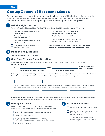#### **PLAN**

## **Getting Letters of Recommendation**

Get to know your teachers. If you know your teachers, they will be better equipped to write your recommendations. Some colleges request one or two teacher recommendations to understand your academic strengths, approach to learning, and areas of growth.



#### **Ask the Right Teacher**

Take the "Am I Asking the Right Teacher?" True or False Quiz! Fill each box with a "T" or "F":

This teacher has taught me in junior



or senior year. This teacher can reflect on my intellectual growth.

This teacher has taught me in a core academic subject.

This teacher would be able to tell a good story about me.

This teacher agreed to write my letter of recommendation without hesitation.

This teacher knows me outside the classroom.

This teacher can assess my academic and personal achievements and potential.

**Did you have more than 3 "F's"? You may want to ask a different teacher who passes this test.**



## **Make the Request Early**

You can ask as early as junior year!

#### 3 **Give Your Teacher Some Direction**

**A. Provide a Clear Deadline:** The colleges you're applying to might have different deadlines, so give your teacher one deadline:

**, then**

**If X =**

**is the deadline you give your teachers.**

(your earliest application deadline)

(a couple weeks before X)

**B. Giving your teacher a bit of guidance** on what they should express about you to admissions officers will only make their job easier. Name three qualities of yours that you'd want your recommendation to express:



For each quality, provide some proof! Remind your teacher with examples of how you exhibited these qualities. You can cite projects, papers, awards, honors, or other accomplishments in or out of the classroom. Write your examples below each quality:

**C. Write Your Own Letter:** In a thoughtful and concise letter to your teacher include what you brainstormed in section B and a brief summary of why you want to attend the colleges you're applying to.

| <b>Package it Nicely</b>                                                                                               | <b>57</b> | <b>Extra Tips Checklist</b>                                                                   |
|------------------------------------------------------------------------------------------------------------------------|-----------|-----------------------------------------------------------------------------------------------|
| After a teacher has agreed to write your recommendation,<br>provide them with an organized list or email that includes |           | Send a thank you note to your teacher.                                                        |
| A list of all the colleges that need recommendations                                                                   |           | Double, triple and quadruple check the<br>letter of recommendation quidelines                 |
| Your letter from section 3C                                                                                            |           | for each application.                                                                         |
| Any recommendation forms from the college or<br>confirmation that you've sent the request to them online.              |           | To increase the credibility of the<br>recommendation, waive your right to<br>view the letter. |
| A note with the deadline                                                                                               |           |                                                                                               |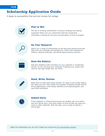## **Scholarship Application Guide**

4 steps to successfully find and win money for college



#### **Plan to Win**

The key to winning scholarships is having a strategy and staying organized! Make sure you understand what the scholarship committee is looking for and give yourself plenty of time to prepare.



#### **Do Your Research**

Search for a range of scholarships at the local and national level that align with your interests and background. Check their websites for criteria, required materials, and stories about previous winners.



#### **Save the Date(s)**

Add each deadline (with reminders) to your calendar or scholarship tracker, so you can prep your materials. Finalizing your essays and resume may take longer than you think!



#### **Read, Write, Review**

Read (and re-read) each essay prompt. It's okay to use similar essays, but make sure you fully answer the question! Schedule enough time to fill out applications, write essays tailored to the topic/program, and have them proofread.



#### **Submit Early**

If any academic or financial documents are needed, ask your school and your family early. Give them plenty of time to help you while you work on other materials. With this plan, you're ready to submit a strong app!

Apply for scholarships you can win! Create your account at bit.ly/greenlight-student.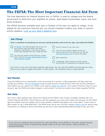## **The FAFSA: The Most Important Financial Aid Form**

The Free Application for Federal Student Aid, or FAFSA, is used by colleges and the federal government to determine your eligibility for grants, need-based scholarships, loans, and workstudy programs.

The FAFSA becomes available each year in October of the year you apply to college. To be eligible for the maximum financial aid, you should complete it before your state or school's priority deadline. [Look up your state's deadline here.](https://studentaid.gov/apply-for-aid/fafsa/fafsa-deadlines/)

| <b>Get Filing!</b>                                                                                                                                                                                                                                                                                                                | Here's a checklist of everything you and your parent/guardian need to fill out, sign, and submit the FAFSA:                                                                                                                                                                                        |
|-----------------------------------------------------------------------------------------------------------------------------------------------------------------------------------------------------------------------------------------------------------------------------------------------------------------------------------|----------------------------------------------------------------------------------------------------------------------------------------------------------------------------------------------------------------------------------------------------------------------------------------------------|
| An <b>FSA ID.</b> Your FSA ID allows you to log in to<br>your account, sign the FAFSA, and make<br>changes or add schools. You and your parent<br>must create separate FSA IDs. Create this first!<br>You and your parent's Social Security number.<br>Here's what to do if your parent doesn't have a<br>Social Security number. | Driver's license (if you have one)<br>Your and your parent's federal income tax<br>returns and W-2s from 2020 (you can use the<br>IRS Data Retrieval Tool to import this data!)<br>Bank statement<br>If applicable, other records of money earned<br>and records of investments and untaxed income |
|                                                                                                                                                                                                                                                                                                                                   | Don't worry if you can't find these materials right away. You can start the FAFSA and come back as many                                                                                                                                                                                            |

# *times as you need to update information or add schools. The important thing is to get started!*

#### **Get Ready!**

Filing the FAFSA isn't as complicated or time-consuming as it sounds—a little preparation will help make the process go smoothly. Use [this worksheet](https://studentaid.gov/sites/default/files/2022-23-fafsa-worksheet.pdf) to get a sneak preview of what the form looks like and the questions it asks! Before you can submit your FAFSA, you'll need to [create your FSA ID](https://studentaid.gov/fsa-id/create-account/launch). You'll need an FSA ID to log in to your account, sign the FAFSA and make changes, or add schools. You and your parent must create separate FSA IDs.

#### **Get Help**

Don't worry about getting stuck while you're filling out the FAFSA—lots of help is available, starting with your school's financial aid office. They'll help you with any questions you have at any step of the process. On the FAFSA app and website, there are tooltips next to each question, detailed help pages, and a chat option. There's also an 800 number to call (1-800-4FED-AID). The FAFSA even has its own YouTube channel! [Check it out f](https://www.youtube.com/user/FederalStudentAid)or step-by-step instructions on creating an FSA ID and filling out the form, help understanding different types of aid, and more.

If you have any questions about financial aid, need help filling out the FAFSA or encounter special financial circumstances your family is experiencing, please reach out to your CBO advisor, school counselor, or Financial Aid Office.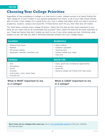# **Choosing Your College Priorities**

Regardless of how prestigious a college is or how much it costs, college success is all about finding the right college fit. It won't matter if your parents graduated from there, or all of your high school friends plan to enroll, if the college isn't a good fit for you. Find a college that offers what you need in terms of academics, location, campus and social life. If these factors don't fit you, then little else will matter.

The chart below contains many college fit factors. Select the five that are the most important to you. What do you need most to be comfortable and succeed? Then, select five that are the least important to you. These are factors that don't matter as much to you if your other needs are met. Prioritizing what matters to you will help you add or eliminate potential schools from your college search.

| <b>Location</b>                                                                                                  | <b>Academics</b>                                                                                                                             |
|------------------------------------------------------------------------------------------------------------------|----------------------------------------------------------------------------------------------------------------------------------------------|
| • Distance from home<br>• Weather<br>• Off-campus setting<br>· Geography: beaches, mountains, etc.               | • Majors offered<br>• Academic reputation<br>• Teaching style<br>• Classes outside your major<br>• Class size                                |
| <b>Campus</b>                                                                                                    | <b>Social Life</b>                                                                                                                           |
| $\cdot$ Size<br>• Atmosphere<br>• Dorms<br>• Diversity<br>• Cost (tuition, room, board, fees)<br>• Financial aid | • Clubs, sports and recreational opportunities<br>• Art scene<br>• Greek life<br>Going to college with friends from high school<br>$\bullet$ |

## **What is MOST important to me in a college?**

## **What is LEAST important to me in a college?**



**Don't miss out on colleges that want you**. Go to **bit.ly/greenlight-student** to find your matches. It's free and easy!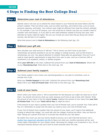## **4 Steps to Finding the Best College Deal**

#### **Step 1 Determine your cost of attendance.**

Identify what it will cost you to attend the school based on your financial aid award letters and the school's website. There are direct costs, such as tuition and fees, and indirect ones, such as travel, personal expenses, and books. Your indirect costs might be different from what the school's estimate is. For example, if you live off campus, your rent would be an indirect cost (but you wouldn't need to consider room and board), or if you plan to rent used textbooks instead of buying new ones, their estimate for books might be higher. Be sure you include any extra fees that go along with certain courses, like lab fees or art supplies.

Write that amount next to **Cost of Attendance** on the following chart (pg. 19).

#### **Step 2 Subtract your gift aid.**

Now calculate your total amount of "gift aid." This is money you don't have to pay back scholarships and grants awarded to you by the college or outside sources, such as Pell Grants or scholarships you won. Pay special attention to whether these gifts are guaranteed. Find out if you'll need to meet specific requirements to keep them from year to year, such as a minimum GPA or enrollment in an academic, artistic, or athletic program.

Write **your Gift Aid** on the chart. Subtract this amount from your **Cost of Attendance**. What's left is your **Remaining Cost**. Write that on the chart (pg. 19).

#### **Step 3 Subtract your family support.**

Your family support is any money your parents/guardians or you plan to contribute, such as savings from a job.

Write your **Family Support** on the chart. Subtract this amount from your **Remaining Cost**. What's left is your **Out-of-Pocket Cost**. Write that on the chart (pg. 19).

#### **Step 4 Look at your loans.**

Here's where your loans come in. We've saved them for last because you might not need any or all of them. You should only borrow what you need, because you'll have to pay it back with interest. Write the amount of your loans in the line labeled **Loans**. Subtract the amount of your loans from **your Outof-Pocket Cost**. This is your **Total Left to Pay** (it might be zero!)

If the amount of your loans is greater than your Out-of-Pocket Cost, you're covered! Your Total Left to Pay is 0. Remember to accept only the loans you need to cover your Out-of-Pocket Cost.

If your Out-of-Pocket Cost is greater than the amount of your loans, you'll need to find additional funding to attend that college. You could talk with the college's financial aid office—they are there to help! Taking out a parent PLUS loan or a private loan should be your last option.

No matter how much you and your family decide to borrow, be a well-informed borrower! Use a [student loan repayment calculator like this t](https://www.bankrate.com/loans/student-loans/student-loan-calculator/)o figure out what your monthly payments will be, and review salary information for your chosen career. Borrowing for college is an investment in you. It's an important financial decision and you'll want to avoid surprises down the road.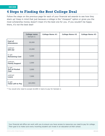## **4 Steps to Finding the Best College Deal**

Follow the steps on the previous page for each of your financial aid awards to see how they stack up! Keep in mind that just because a college is the "cheapest" option or gives you the most scholarship money doesn't mean it's the best one for you. If you wouldn't be happy there, it's not the best deal!

|                                               | <b>College name</b><br>Sample U. | <b>College Name #1</b> | <b>College Name #2</b> | <b>College Name #3</b> |
|-----------------------------------------------|----------------------------------|------------------------|------------------------|------------------------|
| <b>Cost of</b><br><b>Attendance</b>           | 20,000                           |                        |                        |                        |
| subtract<br><b>Gift Aid</b>                   | 15,000                           |                        |                        |                        |
| to get<br><b>Remaining Cost</b>               | 5,000                            |                        |                        |                        |
| subtract<br><b>Family Support</b>             | 2,000                            |                        |                        |                        |
| to get<br><b>Out-of-Pocket</b><br><b>Cost</b> | 3,000                            |                        |                        |                        |
| subtract<br><b>Loans</b>                      | 7,000                            |                        |                        |                        |
| to get<br><b>Total Left to Pay</b>            | $(*4,000)$                       |                        |                        |                        |

\* You would only need to accept \$3,000 in loans to pay for Sample U.

Your financial aid office can work with you to ensure you have access to resources you need to pay for college. Their goal is to make sure every incoming student can invest in an education at their school.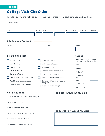# **College Visit Checklist**

To help you find the right college, fill out one of these forms each time you visit a school.

| College Name                    |                                          |                                                             |
|---------------------------------|------------------------------------------|-------------------------------------------------------------|
| City                            | <b>State</b><br><b>Size</b><br>Tuition   | <b>Financial Aid Options</b><br>Room/Board                  |
| <b>Admissions Contact</b>       |                                          |                                                             |
| Name                            | Email                                    | Phone                                                       |
|                                 |                                          |                                                             |
| <b>To-Do Checklist</b>          |                                          | <b>Rate it</b>                                              |
| Tour campus                     | Talk to professors                       | On a scale of 1-5, 5 being<br>the best, rate the following: |
| Visit the library               | Visit student housing                    | Classes                                                     |
| Talk to students                | Read bulletin boards                     | People                                                      |
| Sit in on a class               | Check out recreational facilities        | Social Life                                                 |
| Eat at a cafeteria              | Check out computer labs                  | Residence                                                   |
| Talk to an admissions counselor | Tour the city around campus              | Halls                                                       |
| Read the college newspaper      | Eat at an off-campus student<br>hang-out | Food<br>Community                                           |
| Check out student activities    | Picture yourself living here             | Off-Campus                                                  |

#### **Ask a Student**

What is the best part about this college?

What is the worst part?

What is a typical day like?

What do the students do on the weekends?

How are classes structured?

Why did you choose this college?

#### **The Best Part About My Visit**

#### **The Worst Part About My Visit**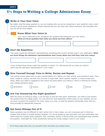# **5½ Steps to Writing a College Admissions Essay**

#### 1 **Write in Your Own Voice**

No matter what the essay question is, you can express who you are by answering in your authentic voice. Avoid trying to sound overly intellectual. Simply showing that you can write well, follow directions, and articulate who you are will be more helpful.

#### $1\frac{1}{6}$

#### **Know What Your Voice Is**

Your voice is distinctly yours. Recognize the qualities that distinguish you from others. **What are three qualities that make you stand out from others?**



2 **Don't Be Repetitive**

Your essay should tell admission representatives something they haven't already read in your application. **What are three things the admission representatives won't know about you until they read your essay?**

If any of these three things match the qualities in section  $1\frac{1}{2}$ , that should tell you what you need to share with the admission representative in your essay!



#### 3 **Give Yourself Enough Time to Write, Revise and Repeat**

The writing process takes time, so give yourself plenty of it. Before you start writing, just brainstorm ideas. From there, create an outline, and then you can start a rough draft. Have a parent, teacher, or friend review your essay. Make your editor's suggestions and rework the piece before you submit it. Here's a checklist for writing your college admission essay:





#### 4 **Are You Answering the Right Question?**

With the stress of writing an essay, it can be easy to lose the main point. Remember, you need to fully answer the question that the college asked. You may have the most beautifully written essay on your abilities, but are you sure it answers the question? For every essay you write, re-read the question and double check that you have provided an appropriate response.

#### 5 **Get Some Mileage Out of It**

Essay questions may be different for each school, but in many cases, you can re-purpose part of what you already have written to answer another question. It's not as simple as copy and paste, but your initial ideas may make sense for multiple essay questions. Still, remember section 4! Be sure that your repurposed essay answers the question. Greenlight tip: Avoid accidentally leaving the wrong college's name in your essay!

All of these steps take time. Do yourself a favor and start your essays early!